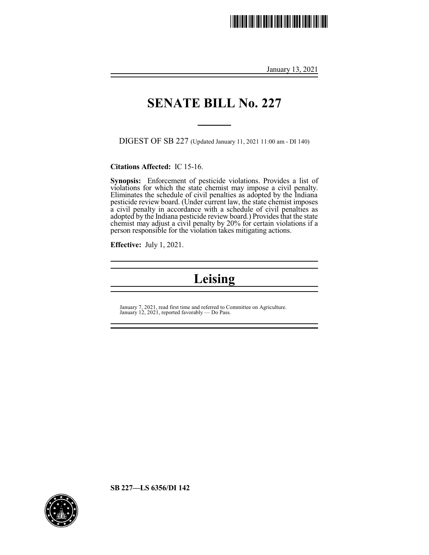# <u>. IIII | IIII | IIII | IIII | IIII | IIII | II</u>

January 13, 2021

### **SENATE BILL No. 227**

**\_\_\_\_\_**

DIGEST OF SB 227 (Updated January 11, 2021 11:00 am - DI 140)

**Citations Affected:** IC 15-16.

**Synopsis:** Enforcement of pesticide violations. Provides a list of violations for which the state chemist may impose a civil penalty. Eliminates the schedule of civil penalties as adopted by the Indiana pesticide review board. (Under current law, the state chemist imposes a civil penalty in accordance with a schedule of civil penalties as adopted by the Indiana pesticide review board.) Provides that the state chemist may adjust a civil penalty by 20% for certain violations if a person responsible for the violation takes mitigating actions.

**Effective:** July 1, 2021.

# **Leising**

January 7, 2021, read first time and referred to Committee on Agriculture. January 12, 2021, reported favorably — Do Pass.

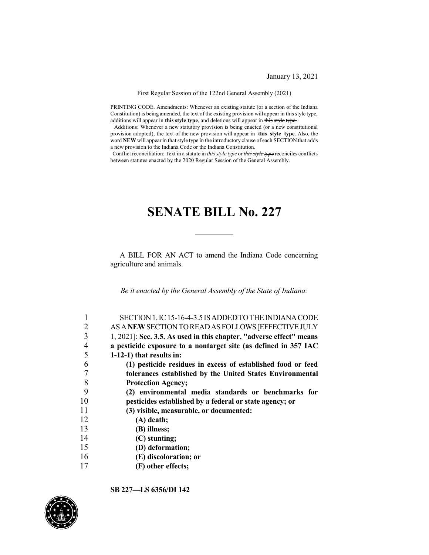January 13, 2021

First Regular Session of the 122nd General Assembly (2021)

PRINTING CODE. Amendments: Whenever an existing statute (or a section of the Indiana Constitution) is being amended, the text of the existing provision will appear in this style type, additions will appear in **this style type**, and deletions will appear in this style type.

Additions: Whenever a new statutory provision is being enacted (or a new constitutional provision adopted), the text of the new provision will appear in **this style type**. Also, the word NEW will appear in that style type in the introductory clause of each SECTION that adds a new provision to the Indiana Code or the Indiana Constitution.

Conflict reconciliation: Text in a statute in *this style type* or *this style type* reconciles conflicts between statutes enacted by the 2020 Regular Session of the General Assembly.

## **SENATE BILL No. 227**

A BILL FOR AN ACT to amend the Indiana Code concerning agriculture and animals.

*Be it enacted by the General Assembly of the State of Indiana:*

|    | SECTION 1. IC 15-16-4-3.5 IS ADDED TO THE INDIANA CODE              |
|----|---------------------------------------------------------------------|
| 2  | AS A NEW SECTION TO READ AS FOLLOWS [EFFECTIVE JULY                 |
| 3  | 1, 2021]: Sec. 3.5. As used in this chapter, "adverse effect" means |
| 4  | a pesticide exposure to a nontarget site (as defined in 357 IAC     |
| 5  | $1-12-1$ ) that results in:                                         |
| 6  | (1) pesticide residues in excess of established food or feed        |
|    | tolerances established by the United States Environmental           |
| 8  | <b>Protection Agency;</b>                                           |
| 9  | (2) environmental media standards or benchmarks for                 |
| 10 | pesticides established by a federal or state agency; or             |
| 11 | (3) visible, measurable, or documented:                             |
| 12 | $(A)$ death;                                                        |
| 13 | (B) illness;                                                        |
| 14 | (C) stunting;                                                       |
| 15 | (D) deformation;                                                    |
| 16 | (E) discoloration; or                                               |
| 17 | (F) other effects;                                                  |

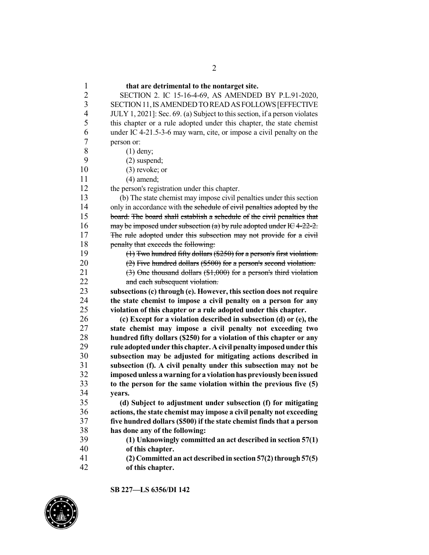**that are detrimental to the nontarget site.** SECTION 2. IC 15-16-4-69, AS AMENDED BY P.L.91-2020, SECTION11,ISAMENDEDTOREADASFOLLOWS[EFFECTIVE 4 JULY 1, 2021]: Sec. 69. (a) Subject to this section, if a person violates this chapter or a rule adopted under this chapter, the state chemist under IC 4-21.5-3-6 may warn, cite, or impose a civil penalty on the  $\begin{array}{cc} 7 & \text{person or:} \\ 8 & (1) \end{array}$ 8 (1) deny;<br>9 (2) suspected  $(2)$  suspend; (3) revoke; or (4) amend; the person's registration under this chapter. (b) The state chemist may impose civil penalties under this section 14 only in accordance with the schedule of civil penalties adopted by the board. The board shall establish a schedule of the civil penalties that 16 may be imposed under subsection (a) by rule adopted under IC4-22-2. The rule adopted under this subsection may not provide for a civil 18 penalty that exceeds the following:  $(1)$  Two hundred fifty dollars (\$250) for a person's first violation.  $(2)$  Five hundred dollars (\$500) for a person's second violation.  $(3)$  One thousand dollars  $($1,000)$  for a person's third violation and each subsequent violation. **subsections (c) through (e). However, thissection does not require the state chemist to impose a civil penalty on a person for any violation of this chapter or a rule adopted under this chapter. (c) Except for a violation described in subsection (d) or (e), the state chemist may impose a civil penalty not exceeding two hundred fifty dollars (\$250) for a violation of this chapter or any rule adoptedunder this chapter.Acivil penalty imposedunder this subsection may be adjusted for mitigating actions described in subsection (f). A civil penalty under this subsection may not be imposedunless awarning for a violationhaspreviouslybeenissued to the person for the same violation within the previous five (5)** vears. **(d) Subject to adjustment under subsection (f) for mitigating actions, the state chemist may impose a civil penalty not exceeding five hundred dollars (\$500) if the state chemist finds that a person has done any of the following: (1) Unknowingly committed an act described in section 57(1) of this chapter. (2) Committedan act described in section 57(2)through57(5) of this chapter.**

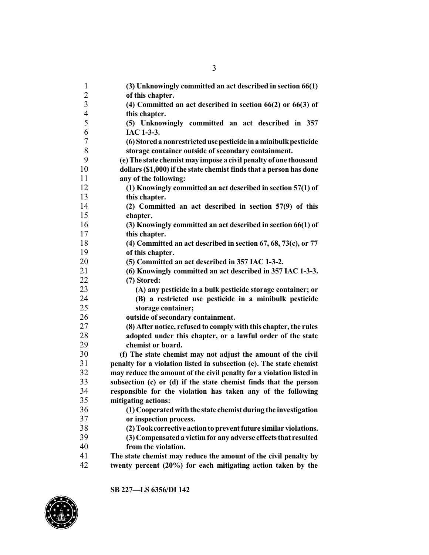| $\mathbf{1}$   | (3) Unknowingly committed an act described in section 66(1)          |
|----------------|----------------------------------------------------------------------|
| $\overline{c}$ | of this chapter.                                                     |
| $\overline{3}$ | (4) Committed an act described in section $66(2)$ or $66(3)$ of      |
| $\overline{4}$ | this chapter.                                                        |
| 5              | (5) Unknowingly committed an act described in 357                    |
| 6              | IAC 1-3-3.                                                           |
| 7              | (6) Stored a nonrestricted use pesticide in a minibulk pesticide     |
| 8              | storage container outside of secondary containment.                  |
| 9              | (e) The state chemist may impose a civil penalty of one thousand     |
| 10             | dollars (\$1,000) if the state chemist finds that a person has done  |
| 11             | any of the following:                                                |
| 12             | (1) Knowingly committed an act described in section 57(1) of         |
| 13             | this chapter.                                                        |
| 14             | (2) Committed an act described in section 57(9) of this              |
| 15             | chapter.                                                             |
| 16             | (3) Knowingly committed an act described in section 66(1) of         |
| 17             | this chapter.                                                        |
| 18             | (4) Committed an act described in section $67, 68, 73(c)$ , or $77$  |
| 19             | of this chapter.                                                     |
| 20             | (5) Committed an act described in 357 IAC 1-3-2.                     |
| 21             | (6) Knowingly committed an act described in 357 IAC 1-3-3.           |
| 22             | (7) Stored:                                                          |
| 23             | (A) any pesticide in a bulk pesticide storage container; or          |
| 24             | (B) a restricted use pesticide in a minibulk pesticide               |
| 25             | storage container;                                                   |
| 26             | outside of secondary containment.                                    |
| 27             | (8) After notice, refused to comply with this chapter, the rules     |
| 28             | adopted under this chapter, or a lawful order of the state           |
| 29             | chemist or board.                                                    |
| 30             | (f) The state chemist may not adjust the amount of the civil         |
| 31             | penalty for a violation listed in subsection (e). The state chemist  |
| 32             | may reduce the amount of the civil penalty for a violation listed in |
| 33             | subsection (c) or (d) if the state chemist finds that the person     |
| 34             | responsible for the violation has taken any of the following         |
| 35             | mitigating actions:                                                  |
| 36             | (1) Cooperated with the state chemist during the investigation       |
| 37             | or inspection process.                                               |
| 38             | (2) Took corrective action to prevent future similar violations.     |
| 39             | (3) Compensated a victim for any adverse effects that resulted       |
| 40             | from the violation.                                                  |
| 41             | The state chemist may reduce the amount of the civil penalty by      |
| 42             | twenty percent (20%) for each mitigating action taken by the         |

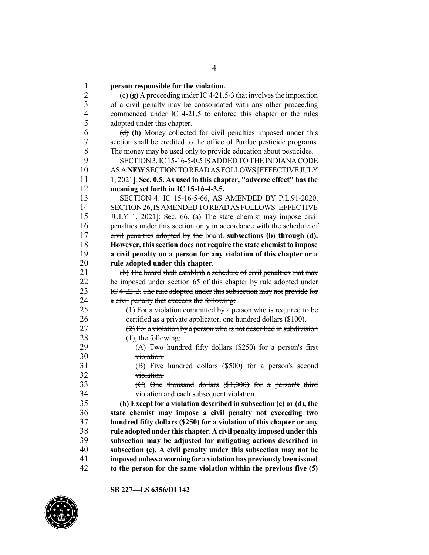**person responsible for the violation.**  $\left( \frac{e}{f}\right)$  (g) A proceeding under IC4-21.5-3 that involves the imposition of a civil penalty may be consolidated with any other proceeding commenced under IC 4-21.5 to enforce this chapter or the rules adopted under this chapter. (d) **(h)** Money collected for civil penalties imposed under this section shall be credited to the office of Purdue pesticide programs. The money may be used only to provide education about pesticides. 9 SECTION 3. IC 15-16-5-0.5 IS ADDED TO THE INDIANA CODE ASA**NEW**SECTIONTOREADASFOLLOWS[EFFECTIVEJULY 1, 2021]: **Sec. 0.5. As used in this chapter, "adverse effect" has the meaning set forth in IC 15-16-4-3.5.** SECTION 4. IC 15-16-5-66, AS AMENDED BY P.L.91-2020, SECTION26,ISAMENDEDTOREADASFOLLOWS[EFFECTIVE JULY 1, 2021]: Sec. 66. (a) The state chemist may impose civil 16 penalties under this section only in accordance with the schedule of civil penalties adopted by the board. **subsections (b) through (d). However, this section does not require the state chemist to impose a civil penalty on a person for any violation of this chapter or a rule adopted under this chapter.**  $\left(b\right)$  The board shall establish a schedule of civil penalties that may 22 be imposed under section 65 of this chapter by rule adopted under 23 IC 4-22-2. The rule adopted under this subsection may not provide for 24 a civil penalty that exceeds the following:  $(1)$  For a violation committed by a person who is required to be 26 certified as a private applicator, one hundred dollars (\$100).  $(2)$  For a violation by a person who is not described in subdivision  $(1)$ , the following:  $(A)$  Two hundred fifty dollars  $(\frac{250}{9})$  for a person's first violation. (B) Five hundred dollars (\$500) for a person's second violation. 33 (C) One thousand dollars  $($1,000)$  for a person's third 34 violation and each subsequent violation.<br>35 (b) Except for a violation described in subse **(b) Except for a violation described in subsection (c) or (d), the state chemist may impose a civil penalty not exceeding two hundred fifty dollars (\$250) for a violation of this chapter or any rule adoptedunder this chapter.Acivil penalty imposedunder this subsection may be adjusted for mitigating actions described in subsection (e). A civil penalty under this subsection may not be imposedunless awarning for a violationhaspreviouslybeenissued to the person for the same violation within the previous five (5)**



**SB 227—LS 6356/DI 142**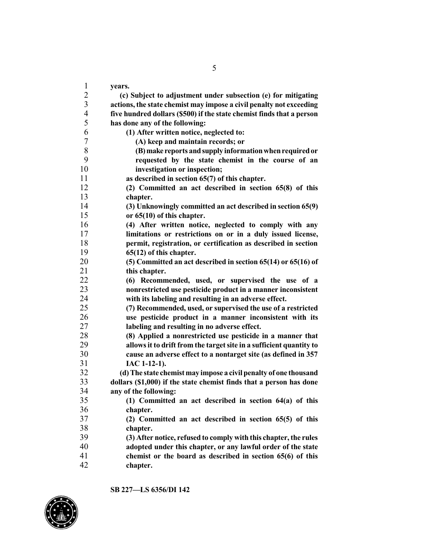**years. (c) Subject to adjustment under subsection (e) for mitigating actions, the state chemist may impose a civil penalty not exceeding five hundred dollars (\$500) if the state chemist finds that a person has done any of the following: (1) After written notice, neglected to: (A) keep and maintain records; or (B)make reports andsupply informationwhenrequiredor requested by the state chemist in the course of an investigation or inspection; as described in section 65(7) of this chapter. (2) Committed an act described in section 65(8) of this chapter. (3) Unknowingly committed an act described in section 65(9) or 65(10) of this chapter. (4) After written notice, neglected to comply with any limitations or restrictions on or in a duly issued license, permit, registration, or certification as described in section 65(12) of this chapter. (5) Committed an act described in section 65(14) or 65(16) of this chapter. (6) Recommended, used, or supervised the use of a nonrestricted use pesticide product in a manner inconsistent with its labeling and resulting in an adverse effect. (7) Recommended, used, or supervised the use of a restricted use pesticide product in a manner inconsistent with its labeling and resulting in no adverse effect. (8) Applied a nonrestricted use pesticide in a manner that allowsit to drift from the targetsite in a sufficient quantity to cause an adverse effect to a nontarget site (as defined in 357 IAC 1-12-1). (d)The state chemistmay impose a civil penalty of one thousand dollars (\$1,000) if the state chemist finds that a person has done any of the following: (1) Committed an act described in section 64(a) of this chapter. (2) Committed an act described in section 65(5) of this chapter. (3) After notice, refused to comply with this chapter,the rules adopted under this chapter, or any lawful order of the state chemist or the board as described in section 65(6) of this chapter.**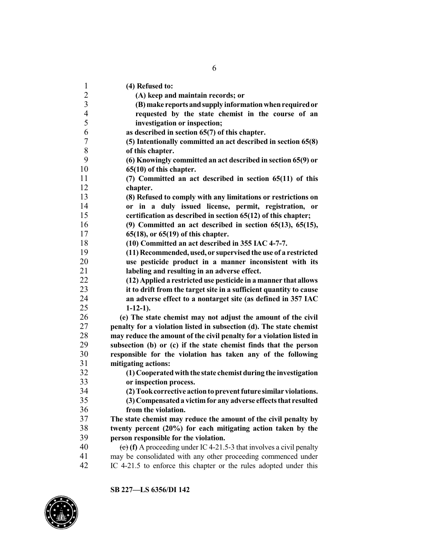| $\mathbf{1}$   | (4) Refused to:                                                      |
|----------------|----------------------------------------------------------------------|
| $\overline{c}$ | (A) keep and maintain records; or                                    |
| $\overline{3}$ | (B) make reports and supply information when required or             |
| $\overline{4}$ | requested by the state chemist in the course of an                   |
| 5              | investigation or inspection;                                         |
| 6              | as described in section 65(7) of this chapter.                       |
| $\sqrt{ }$     | (5) Intentionally committed an act described in section 65(8)        |
| 8              | of this chapter.                                                     |
| 9              | (6) Knowingly committed an act described in section 65(9) or         |
| 10             | 65(10) of this chapter.                                              |
| 11             | (7) Committed an act described in section 65(11) of this             |
| 12             | chapter.                                                             |
| 13             | (8) Refused to comply with any limitations or restrictions on        |
| 14             | or in a duly issued license, permit, registration, or                |
| 15             | certification as described in section 65(12) of this chapter;        |
| 16             | $(9)$ Committed an act described in section 65(13), 65(15),          |
| 17             | $65(18)$ , or $65(19)$ of this chapter.                              |
| 18             | (10) Committed an act described in 355 IAC 4-7-7.                    |
| 19             | (11) Recommended, used, or supervised the use of a restricted        |
| 20             | use pesticide product in a manner inconsistent with its              |
| 21             | labeling and resulting in an adverse effect.                         |
| 22             | (12) Applied a restricted use pesticide in a manner that allows      |
| 23             | it to drift from the target site in a sufficient quantity to cause   |
| 24             | an adverse effect to a nontarget site (as defined in 357 IAC         |
| 25             | $1-12-1$ ).                                                          |
| 26             | (e) The state chemist may not adjust the amount of the civil         |
| 27             | penalty for a violation listed in subsection (d). The state chemist  |
| 28             | may reduce the amount of the civil penalty for a violation listed in |
| 29             | subsection (b) or (c) if the state chemist finds that the person     |
| 30             | responsible for the violation has taken any of the following         |
| 31             | mitigating actions:                                                  |
| 32             | (1) Cooperated with the state chemist during the investigation       |
| 33             | or inspection process.                                               |
| 34             | (2) Took corrective action to prevent future similar violations.     |
| 35             | (3) Compensated a victim for any adverse effects that resulted       |
| 36             | from the violation.                                                  |
| 37             | The state chemist may reduce the amount of the civil penalty by      |
| 38             | twenty percent (20%) for each mitigating action taken by the         |
| 39             | person responsible for the violation.                                |
| 40             | (c) (f) A proceeding under IC 4-21.5-3 that involves a civil penalty |
| 41             | may be consolidated with any other proceeding commenced under        |
| 42             | IC 4-21.5 to enforce this chapter or the rules adopted under this    |

**SB 227—LS 6356/DI 142**

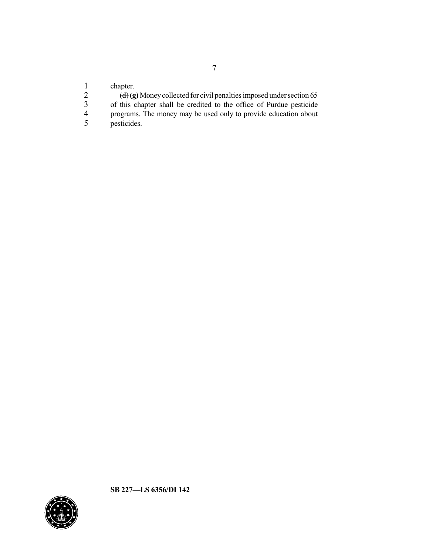1 chapter.<br>2  $\frac{d}{dx}$ 

2 (d) (g) Money collected for civil penalties imposed under section 65

3 of this chapter shall be credited to the office of Purdue pesticide

- 4 programs. The money may be used only to provide education about pesticides.
- pesticides.